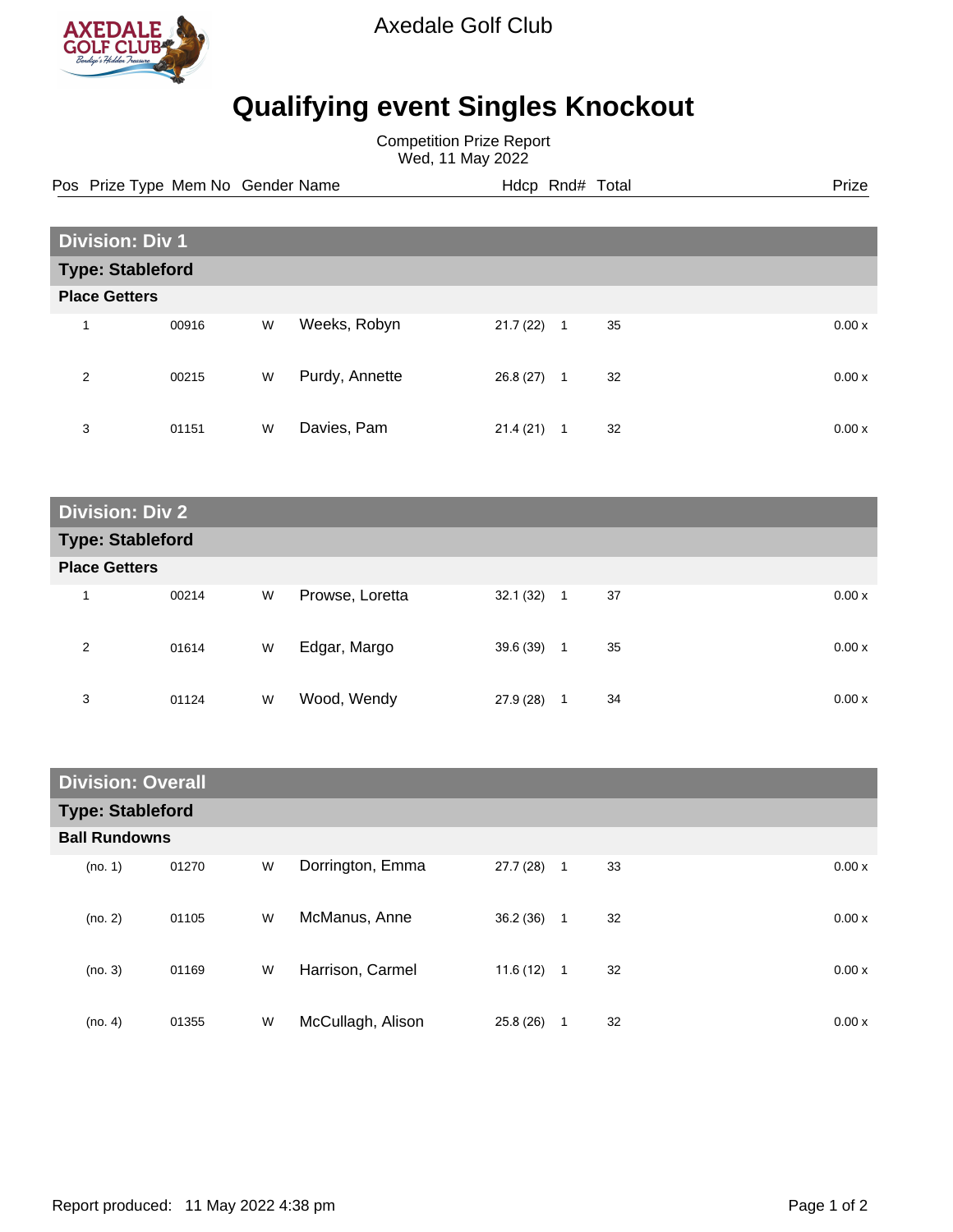

Axedale Golf Club

## **Qualifying event Singles Knockout**

Competition Prize Report Wed, 11 May 2022

Pos Prize Type Mem No Gender Name **Hdcp Rnd# Total** Prize Prize

| <b>Division: Div 1</b>  |       |   |                |           |                      |        |  |
|-------------------------|-------|---|----------------|-----------|----------------------|--------|--|
| <b>Type: Stableford</b> |       |   |                |           |                      |        |  |
| <b>Place Getters</b>    |       |   |                |           |                      |        |  |
| 1                       | 00916 | W | Weeks, Robyn   | 21.7(22)  | 35<br>$\overline{1}$ | 0.00x  |  |
| 2                       | 00215 | W | Purdy, Annette | 26.8 (27) | 32<br>$\mathbf{1}$   | 0.00 x |  |
| 3                       | 01151 | W | Davies, Pam    | 21.4(21)  | 32<br>1              | 0.00x  |  |

| <b>Division: Div 2</b>  |       |   |                 |              |                    |       |  |
|-------------------------|-------|---|-----------------|--------------|--------------------|-------|--|
| <b>Type: Stableford</b> |       |   |                 |              |                    |       |  |
| <b>Place Getters</b>    |       |   |                 |              |                    |       |  |
| 1                       | 00214 | W | Prowse, Loretta | $32.1(32)$ 1 | 37                 | 0.00x |  |
| 2                       | 01614 | W | Edgar, Margo    | 39.6 (39)    | 35<br>$\mathbf{1}$ | 0.00x |  |
| 3                       | 01124 | W | Wood, Wendy     | 27.9 (28)    | 34<br>1            | 0.00x |  |

| <b>Division: Overall</b> |       |   |                   |              |              |    |       |
|--------------------------|-------|---|-------------------|--------------|--------------|----|-------|
| <b>Type: Stableford</b>  |       |   |                   |              |              |    |       |
| <b>Ball Rundowns</b>     |       |   |                   |              |              |    |       |
| (no. 1)                  | 01270 | W | Dorrington, Emma  | 27.7(28)     | $\mathbf 1$  | 33 | 0.00x |
| (no. 2)                  | 01105 | W | McManus, Anne     | 36.2(36)     | $\mathbf{1}$ | 32 | 0.00x |
| (no. 3)                  | 01169 | W | Harrison, Carmel  | $11.6(12)$ 1 |              | 32 | 0.00x |
| (no. 4)                  | 01355 | W | McCullagh, Alison | 25.8 (26)    | 1            | 32 | 0.00x |